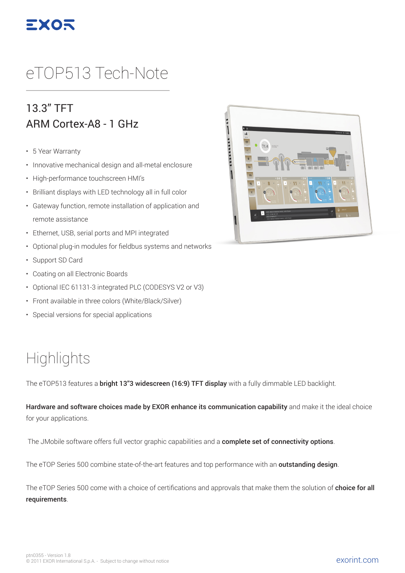

# eTOP513 Tech-Note

#### 13.3" TFT ARM Cortex-A8 - 1 GHz

- 5 Year Warranty
- Innovative mechanical design and all-metal enclosure
- High-performance touchscreen HMI's
- Brilliant displays with LED technology all in full color
- Gateway function, remote installation of application and remote assistance
- Ethernet, USB, serial ports and MPI integrated
- Optional plug-in modules for fieldbus systems and networks
- Support SD Card
- Coating on all Electronic Boards
- Optional IEC 61131-3 integrated PLC (CODESYS V2 or V3)
- Front available in three colors (White/Black/Silver)
- Special versions for special applications

## **Highlights**

The eTOP513 features a **bright 13"3 widescreen (16:9) TFT display** with a fully dimmable LED backlight.

Hardware and software choices made by EXOR enhance its communication capability and make it the ideal choice for your applications.

The JMobile software offers full vector graphic capabilities and a complete set of connectivity options.

The eTOP Series 500 combine state-of-the-art features and top performance with an **outstanding design**.

The eTOP Series 500 come with a choice of certifications and approvals that make them the solution of **choice for all** requirements.